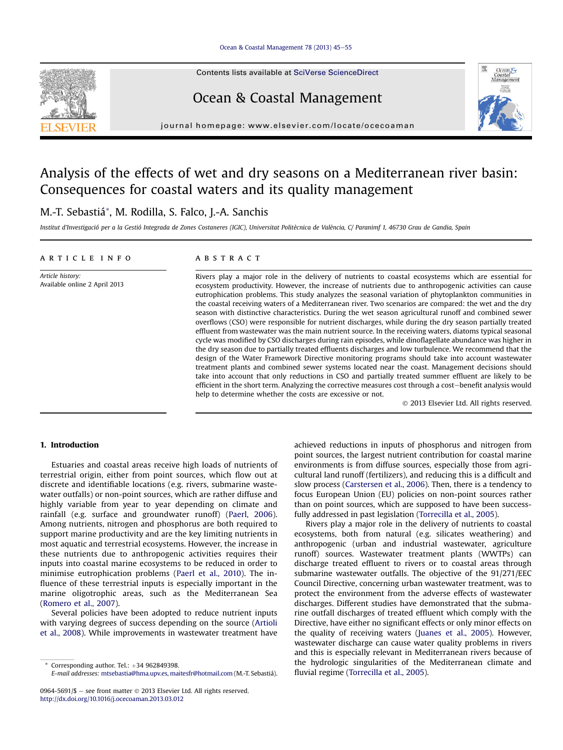#### [Ocean & Coastal Management 78 \(2013\) 45](http://dx.doi.org/10.1016/j.ocecoaman.2013.03.012)-[55](http://dx.doi.org/10.1016/j.ocecoaman.2013.03.012)

Contents lists available at SciVerse ScienceDirect

## Ocean & Coastal Management

journal homepage: [www.elsevier.com/locate/ocecoaman](http://www.elsevier.com/locate/ocecoaman)

## Analysis of the effects of wet and dry seasons on a Mediterranean river basin: Consequences for coastal waters and its quality management

### M.-T. Sebastiá\*, M. Rodilla, S. Falco, J.-A. Sanchis

Institut d'Investigació per a la Gestió Integrada de Zones Costaneres (IGIC), Universitat Politècnica de València, C/ Paranimf 1, 46730 Grau de Gandia, Spain

#### article info

Article history: Available online 2 April 2013

#### **ABSTRACT**

Rivers play a major role in the delivery of nutrients to coastal ecosystems which are essential for ecosystem productivity. However, the increase of nutrients due to anthropogenic activities can cause eutrophication problems. This study analyzes the seasonal variation of phytoplankton communities in the coastal receiving waters of a Mediterranean river. Two scenarios are compared: the wet and the dry season with distinctive characteristics. During the wet season agricultural runoff and combined sewer overflows (CSO) were responsible for nutrient discharges, while during the dry season partially treated effluent from wastewater was the main nutrient source. In the receiving waters, diatoms typical seasonal cycle was modified by CSO discharges during rain episodes, while dinoflagellate abundance was higher in the dry season due to partially treated effluents discharges and low turbulence. We recommend that the design of the Water Framework Directive monitoring programs should take into account wastewater treatment plants and combined sewer systems located near the coast. Management decisions should take into account that only reductions in CSO and partially treated summer effluent are likely to be efficient in the short term. Analyzing the corrective measures cost through a cost-benefit analysis would help to determine whether the costs are excessive or not.

2013 Elsevier Ltd. All rights reserved.

#### 1. Introduction

Estuaries and coastal areas receive high loads of nutrients of terrestrial origin, either from point sources, which flow out at discrete and identifiable locations (e.g. rivers, submarine wastewater outfalls) or non-point sources, which are rather diffuse and highly variable from year to year depending on climate and rainfall (e.g. surface and groundwater runoff) ([Paerl, 2006\)](#page--1-0). Among nutrients, nitrogen and phosphorus are both required to support marine productivity and are the key limiting nutrients in most aquatic and terrestrial ecosystems. However, the increase in these nutrients due to anthropogenic activities requires their inputs into coastal marine ecosystems to be reduced in order to minimise eutrophication problems ([Paerl et al., 2010](#page--1-0)). The influence of these terrestrial inputs is especially important in the marine oligotrophic areas, such as the Mediterranean Sea ([Romero et al., 2007\)](#page--1-0).

Several policies have been adopted to reduce nutrient inputs with varying degrees of success depending on the source ([Artioli](#page--1-0) [et al., 2008\)](#page--1-0). While improvements in wastewater treatment have

achieved reductions in inputs of phosphorus and nitrogen from point sources, the largest nutrient contribution for coastal marine environments is from diffuse sources, especially those from agricultural land runoff (fertilizers), and reducing this is a difficult and slow process [\(Carstersen et al., 2006\)](#page--1-0). Then, there is a tendency to focus European Union (EU) policies on non-point sources rather than on point sources, which are supposed to have been successfully addressed in past legislation ([Torrecilla et al., 2005](#page--1-0)).

Rivers play a major role in the delivery of nutrients to coastal ecosystems, both from natural (e.g. silicates weathering) and anthropogenic (urban and industrial wastewater, agriculture runoff) sources. Wastewater treatment plants (WWTPs) can discharge treated effluent to rivers or to coastal areas through submarine wastewater outfalls. The objective of the 91/271/EEC Council Directive, concerning urban wastewater treatment, was to protect the environment from the adverse effects of wastewater discharges. Different studies have demonstrated that the submarine outfall discharges of treated effluent which comply with the Directive, have either no significant effects or only minor effects on the quality of receiving waters ([Juanes et al., 2005\)](#page--1-0). However, wastewater discharge can cause water quality problems in rivers and this is especially relevant in Mediterranean rivers because of the hydrologic singularities of the Mediterranean climate and fluvial regime [\(Torrecilla et al., 2005\)](#page--1-0).





Corresponding author. Tel.:  $+34$  962849398.

E-mail addresses: [mtsebastia@hma.upv.es](mailto:mtsebastia@hma.upv.es), [maitesfr@hotmail.com](mailto:maitesfr@hotmail.com) (M.-T. Sebastiá).

<sup>0964-5691/\$ -</sup> see front matter  $\odot$  2013 Elsevier Ltd. All rights reserved. <http://dx.doi.org/10.1016/j.ocecoaman.2013.03.012>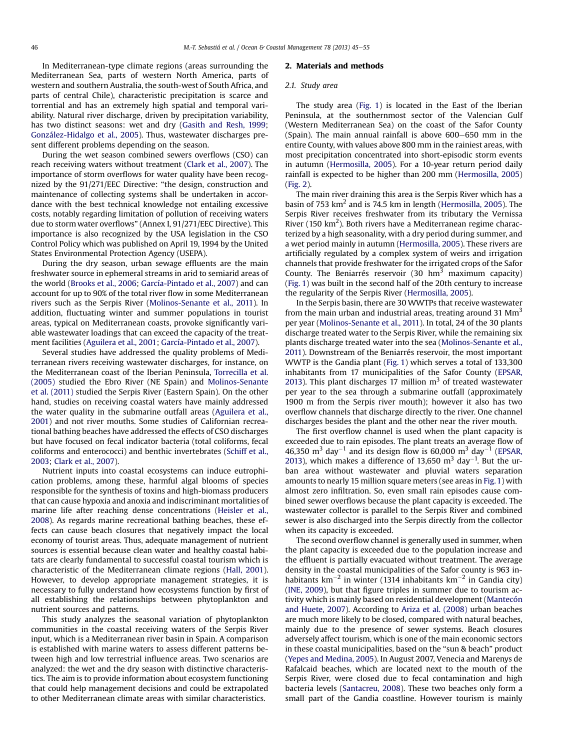In Mediterranean-type climate regions (areas surrounding the Mediterranean Sea, parts of western North America, parts of western and southern Australia, the south-west of South Africa, and parts of central Chile), characteristic precipitation is scarce and torrential and has an extremely high spatial and temporal variability. Natural river discharge, driven by precipitation variability, has two distinct seasons: wet and dry [\(Gasith and Resh, 1999](#page--1-0); [González-Hidalgo et al., 2005\)](#page--1-0). Thus, wastewater discharges present different problems depending on the season.

During the wet season combined sewers overflows (CSO) can reach receiving waters without treatment ([Clark et al., 2007](#page--1-0)). The importance of storm overflows for water quality have been recognized by the 91/271/EEC Directive: "the design, construction and maintenance of collecting systems shall be undertaken in accordance with the best technical knowledge not entailing excessive costs, notably regarding limitation of pollution of receiving waters due to storm water overflows" (Annex I, 91/271/EEC Directive). This importance is also recognized by the USA legislation in the CSO Control Policy which was published on April 19, 1994 by the United States Environmental Protection Agency (USEPA).

During the dry season, urban sewage effluents are the main freshwater source in ephemeral streams in arid to semiarid areas of the world ([Brooks et al., 2006](#page--1-0); [García-Pintado et al., 2007](#page--1-0)) and can account for up to 90% of the total river flow in some Mediterranean rivers such as the Serpis River [\(Molinos-Senante et al., 2011](#page--1-0)). In addition, fluctuating winter and summer populations in tourist areas, typical on Mediterranean coasts, provoke significantly variable wastewater loadings that can exceed the capacity of the treatment facilities [\(Aguilera et al., 2001;](#page--1-0) [García-Pintado et al., 2007\)](#page--1-0).

Several studies have addressed the quality problems of Mediterranean rivers receiving wastewater discharges, for instance, on the Mediterranean coast of the Iberian Peninsula, [Torrecilla et al.](#page--1-0) [\(2005\)](#page--1-0) studied the Ebro River (NE Spain) and [Molinos-Senante](#page--1-0) [et al. \(2011\)](#page--1-0) studied the Serpis River (Eastern Spain). On the other hand, studies on receiving coastal waters have mainly addressed the water quality in the submarine outfall areas ([Aguilera et al.,](#page--1-0) [2001\)](#page--1-0) and not river mouths. Some studies of Californian recreational bathing beaches have addressed the effects of CSO discharges but have focused on fecal indicator bacteria (total coliforms, fecal coliforms and enterococci) and benthic invertebrates ([Schiff et al.,](#page--1-0) [2003](#page--1-0); [Clark et al., 2007](#page--1-0)).

Nutrient inputs into coastal ecosystems can induce eutrophication problems, among these, harmful algal blooms of species responsible for the synthesis of toxins and high-biomass producers that can cause hypoxia and anoxia and indiscriminant mortalities of marine life after reaching dense concentrations [\(Heisler et al.,](#page--1-0) [2008](#page--1-0)). As regards marine recreational bathing beaches, these effects can cause beach closures that negatively impact the local economy of tourist areas. Thus, adequate management of nutrient sources is essential because clean water and healthy coastal habitats are clearly fundamental to successful coastal tourism which is characteristic of the Mediterranean climate regions [\(Hall, 2001](#page--1-0)). However, to develop appropriate management strategies, it is necessary to fully understand how ecosystems function by first of all establishing the relationships between phytoplankton and nutrient sources and patterns.

This study analyzes the seasonal variation of phytoplankton communities in the coastal receiving waters of the Serpis River input, which is a Mediterranean river basin in Spain. A comparison is established with marine waters to assess different patterns between high and low terrestrial influence areas. Two scenarios are analyzed: the wet and the dry season with distinctive characteristics. The aim is to provide information about ecosystem functioning that could help management decisions and could be extrapolated to other Mediterranean climate areas with similar characteristics.

#### 2. Materials and methods

#### 2.1. Study area

The study area [\(Fig. 1](#page--1-0)) is located in the East of the Iberian Peninsula, at the southernmost sector of the Valencian Gulf (Western Mediterranean Sea) on the coast of the Safor County (Spain). The main annual rainfall is above  $600-650$  mm in the entire County, with values above 800 mm in the rainiest areas, with most precipitation concentrated into short-episodic storm events in autumn [\(Hermosilla, 2005\)](#page--1-0). For a 10-year return period daily rainfall is expected to be higher than 200 mm ([Hermosilla, 2005\)](#page--1-0) ([Fig. 2\)](#page--1-0).

The main river draining this area is the Serpis River which has a basin of 753  $km^2$  and is 74.5 km in length ([Hermosilla, 2005\)](#page--1-0). The Serpis River receives freshwater from its tributary the Vernissa River (150  $\rm km^2$ ). Both rivers have a Mediterranean regime characterized by a high seasonality, with a dry period during summer, and a wet period mainly in autumn ([Hermosilla, 2005\)](#page--1-0). These rivers are artificially regulated by a complex system of weirs and irrigation channels that provide freshwater for the irrigated crops of the Safor County. The Beniarrés reservoir  $(30 \text{ hm}^3 \text{ maximum capacity})$ ([Fig. 1](#page--1-0)) was built in the second half of the 20th century to increase the regularity of the Serpis River [\(Hermosilla, 2005\)](#page--1-0).

In the Serpis basin, there are 30 WWTPs that receive wastewater from the main urban and industrial areas, treating around 31  $\text{Mm}^3$ per year [\(Molinos-Senante et al., 2011](#page--1-0)). In total, 24 of the 30 plants discharge treated water to the Serpis River, while the remaining six plants discharge treated water into the sea ([Molinos-Senante et al.,](#page--1-0) [2011\)](#page--1-0). Downstream of the Beniarrés reservoir, the most important WWTP is the Gandia plant ([Fig. 1\)](#page--1-0) which serves a total of 133,300 inhabitants from 17 municipalities of the Safor County ([EPSAR,](#page--1-0) [2013\)](#page--1-0). This plant discharges 17 million  $m<sup>3</sup>$  of treated wastewater per year to the sea through a submarine outfall (approximately 1900 m from the Serpis river mouth); however it also has two overflow channels that discharge directly to the river. One channel discharges besides the plant and the other near the river mouth.

The first overflow channel is used when the plant capacity is exceeded due to rain episodes. The plant treats an average flow of 46,350  $\mathrm{m}^{3}$  day $^{-1}$  and its design flow is 60,000  $\mathrm{m}^{3}$  day $^{-1}$  ([EPSAR,](#page--1-0) [2013\)](#page--1-0), which makes a difference of 13,650  $\mathrm{m}^{3}$  day<sup>-1</sup>. But the urban area without wastewater and pluvial waters separation amounts to nearly 15 million square meters (see areas in [Fig. 1\)](#page--1-0) with almost zero infiltration. So, even small rain episodes cause combined sewer overflows because the plant capacity is exceeded. The wastewater collector is parallel to the Serpis River and combined sewer is also discharged into the Serpis directly from the collector when its capacity is exceeded.

The second overflow channel is generally used in summer, when the plant capacity is exceeded due to the population increase and the effluent is partially evacuated without treatment. The average density in the coastal municipalities of the Safor county is 963 inhabitants km<sup>-2</sup> in winter (1314 inhabitants km<sup>-2</sup> in Gandia city) ([INE, 2009](#page--1-0)), but that figure triples in summer due to tourism activity which is mainly based on residential development [\(Mantecón](#page--1-0) [and Huete, 2007\)](#page--1-0). According to [Ariza et al. \(2008\)](#page--1-0) urban beaches are much more likely to be closed, compared with natural beaches, mainly due to the presence of sewer systems. Beach closures adversely affect tourism, which is one of the main economic sectors in these coastal municipalities, based on the "sun & beach" product ([Yepes and Medina, 2005\)](#page--1-0). In August 2007, Venecia and Marenys de Rafalcaid beaches, which are located next to the mouth of the Serpis River, were closed due to fecal contamination and high bacteria levels ([Santacreu, 2008\)](#page--1-0). These two beaches only form a small part of the Gandia coastline. However tourism is mainly